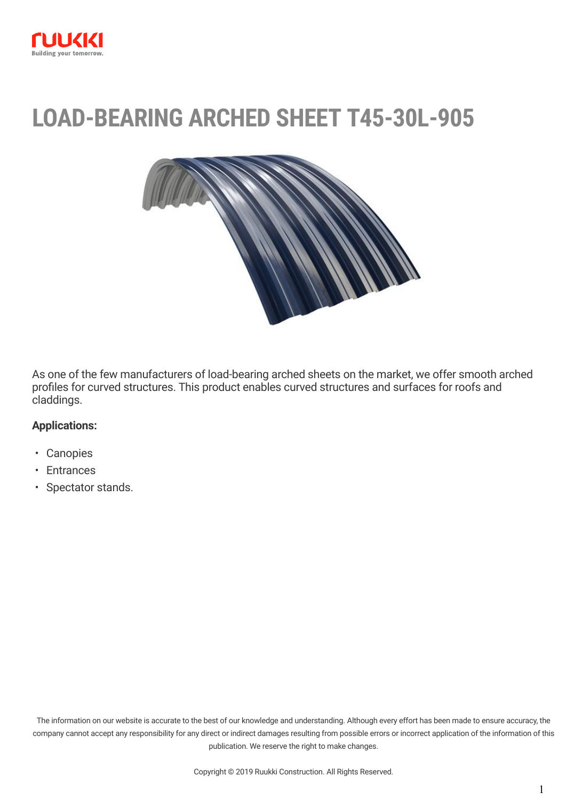

# **LOAD-BEARING ARCHED SHEET T45-30L-905**



As one of the few manufacturers of load-bearing arched sheets on the market, we offer smooth arched profiles for curved structures. This product enables curved structures and surfaces for roofs and claddings.

#### **Applications:**

- Canopies
- Entrances
- Spectator stands.

The information on our website is accurate to the best of our knowledge and understanding. Although every effort has been made to ensure accuracy, the company cannot accept any responsibility for any direct or indirect damages resulting from possible errors or incorrect application of the information of this publication. We reserve the right to make changes.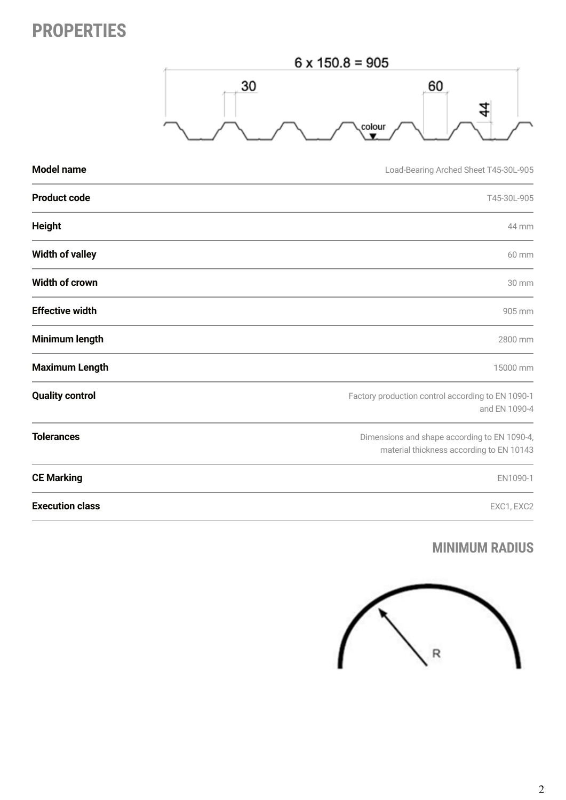## **PROPERTIES**



| <b>Model name</b>      | Load-Bearing Arched Sheet T45-30L-905                                                    |
|------------------------|------------------------------------------------------------------------------------------|
| <b>Product code</b>    | T45-30L-905                                                                              |
| <b>Height</b>          | 44 mm                                                                                    |
| <b>Width of valley</b> | 60 mm                                                                                    |
| Width of crown         | 30 mm                                                                                    |
| <b>Effective width</b> | 905 mm                                                                                   |
| Minimum length         | 2800 mm                                                                                  |
| <b>Maximum Length</b>  | 15000 mm                                                                                 |
| <b>Quality control</b> | Factory production control according to EN 1090-1<br>and EN 1090-4                       |
| <b>Tolerances</b>      | Dimensions and shape according to EN 1090-4,<br>material thickness according to EN 10143 |
| <b>CE Marking</b>      | EN1090-1                                                                                 |
| <b>Execution class</b> | EXC1, EXC2                                                                               |

#### **MINIMUM RADIUS**

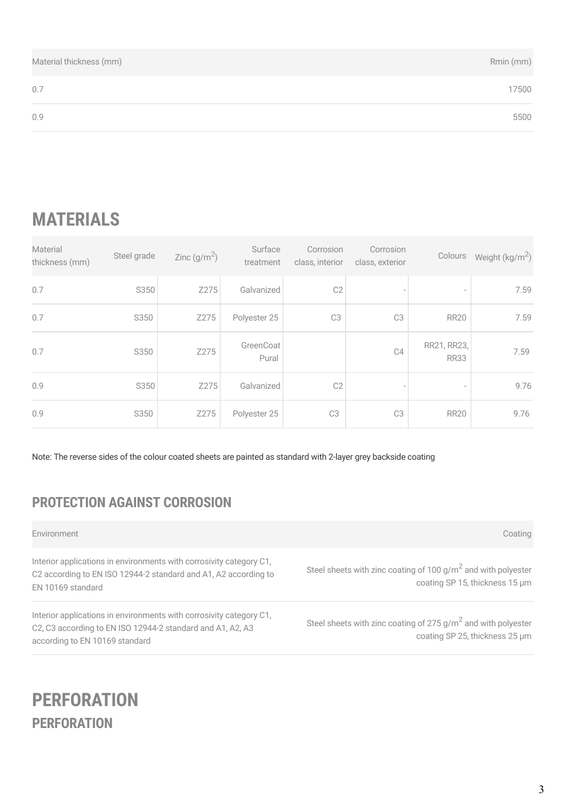| Material thickness (mm) | Rmin (mm) |
|-------------------------|-----------|
| 0.7                     | 17500     |
| 0.9                     | 5500      |

## **MATERIALS**

| Material<br>thickness (mm) | Steel grade | Zinc $(g/m^2)$ | Surface<br>treatment | Corrosion<br>class, interior | Corrosion<br>class, exterior | Colours                    | Weight $(kg/m2)$ |
|----------------------------|-------------|----------------|----------------------|------------------------------|------------------------------|----------------------------|------------------|
| 0.7                        | S350        | Z275           | Galvanized           | C <sub>2</sub>               |                              | $\overline{\phantom{a}}$   | 7.59             |
| 0.7                        | S350        | Z275           | Polyester 25         | C <sub>3</sub>               | C <sub>3</sub>               | <b>RR20</b>                | 7.59             |
| 0.7                        | S350        | Z275           | GreenCoat<br>Pural   |                              | C4                           | RR21, RR23,<br><b>RR33</b> | 7.59             |
| 0.9                        | S350        | Z275           | Galvanized           | C2                           |                              | $\overline{\phantom{a}}$   | 9.76             |
| 0.9                        | S350        | Z275           | Polyester 25         | C <sub>3</sub>               | C <sub>3</sub>               | <b>RR20</b>                | 9.76             |

Note: The reverse sides of the colour coated sheets are painted as standard with 2-layer grey backside coating

### **PROTECTION AGAINST CORROSION**

Environment Coating

Interior applications in environments with corrosivity category C1, C2 according to EN ISO 12944-2 standard and A1, A2 according to EN 10169 standard

Interior applications in environments with corrosivity category C1, C2, C3 according to EN ISO 12944-2 standard and A1, A2, A3 according to EN 10169 standard

Steel sheets with zinc coating of 100  $g/m^2$  and with polyester coating SP 15, thickness 15 μm

Steel sheets with zinc coating of 275 g/m<sup>2</sup> and with polyester coating SP 25, thickness 25 μm

### **PERFORATION PERFORATION**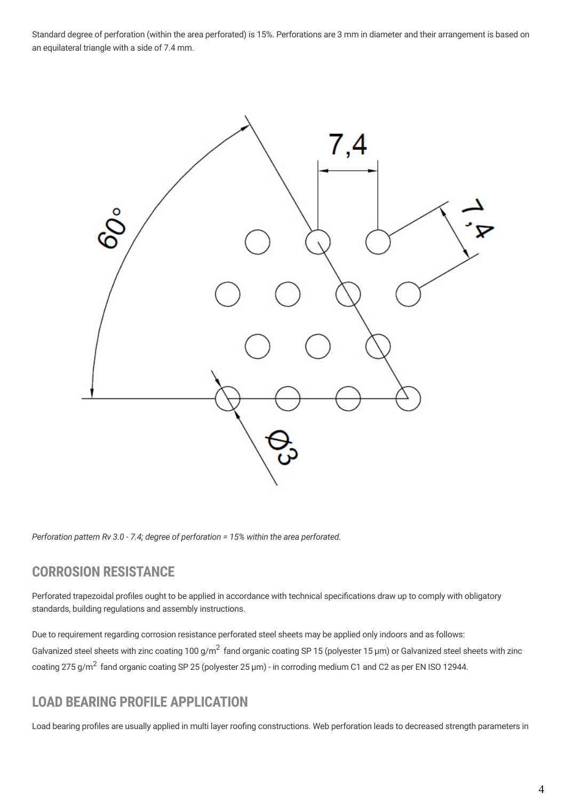Standard degree of perforation (within the area perforated) is 15%. Perforations are 3 mm in diameter and their arrangement is based on an equilateral triangle with a side of 7.4 mm.



*Perforation pattern Rv 3.0 - 7.4; degree of perforation = 15% within the area perforated.*

#### **CORROSION RESISTANCE**

Perforated trapezoidal profiles ought to be applied in accordance with technical specifications draw up to comply with obligatory standards, building regulations and assembly instructions.

Due to requirement regarding corrosion resistance perforated steel sheets may be applied only indoors and as follows: Galvanized steel sheets with zinc coating 100 g/m<sup>2</sup> fand organic coating SP 15 (polyester 15 µm) or Galvanized steel sheets with zinc coating 275 g/m<sup>2</sup> fand organic coating SP 25 (polyester 25 µm) - in corroding medium C1 and C2 as per EN ISO 12944.

#### **LOAD BEARING PROFILE APPLICATION**

Load bearing profiles are usually applied in multi layer roofing constructions. Web perforation leads to decreased strength parameters in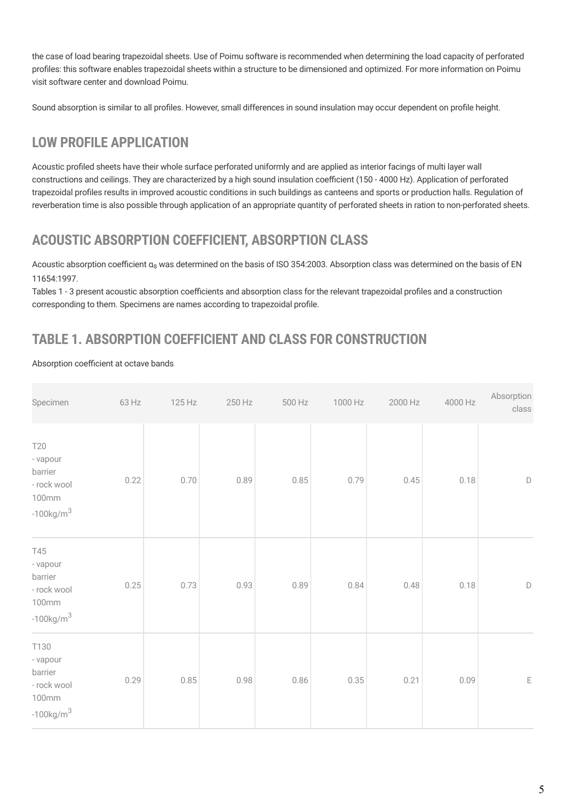the case of load bearing trapezoidal sheets. Use of Poimu software is recommended when determining the load capacity of perforated profiles: this software enables trapezoidal sheets within a structure to be dimensioned and optimized. For more information on Poimu visit software center and [download Poimu](http://software.ruukki.com/PublishedService?file=page&pageID=9&itemcode=1-1-3-1).

Sound absorption is similar to all profiles. However, small differences in sound insulation may occur dependent on profile height.

### **LOW PROFILE APPLICATION**

Acoustic profiled sheets have their whole surface perforated uniformly and are applied as interior facings of multi layer wall constructions and ceilings. They are characterized by a high sound insulation coefficient (150 - 4000 Hz). Application of perforated trapezoidal profiles results in improved acoustic conditions in such buildings as canteens and sports or production halls. Regulation of reverberation time is also possible through application of an appropriate quantity of perforated sheets in ration to non-perforated sheets.

#### **ACOUSTIC ABSORPTION COEFFICIENT, ABSORPTION CLASS**

Acoustic absorption coefficient αs was determined on the basis of ISO 354:2003. Absorption class was determined on the basis of EN 11654:1997.

Tables 1 - 3 present acoustic absorption coefficients and absorption class for the relevant trapezoidal profiles and a construction corresponding to them. Specimens are names according to trapezoidal profile.

#### **TABLE 1. ABSORPTION COEFFICIENT AND CLASS FOR CONSTRUCTION**

#### Absorption coefficient at octave bands

| Specimen                                                                        | 63 Hz | 125 Hz | 250 Hz | 500 Hz   | 1000 Hz | 2000 Hz | 4000 Hz | Absorption<br>class |
|---------------------------------------------------------------------------------|-------|--------|--------|----------|---------|---------|---------|---------------------|
| <b>T20</b><br>- vapour<br>barrier<br>- rock wool<br>100mm<br>$-100$ kg/m $^{3}$ | 0.22  | 0.70   | 0.89   | 0.85     | 0.79    | 0.45    | 0.18    | $\mathsf D$         |
| T45<br>- vapour<br>barrier<br>- rock wool<br>100mm<br>$-100$ kg/m $^3$          | 0.25  | 0.73   | 0.93   | 0.89     | 0.84    | 0.48    | 0.18    | $\mathsf D$         |
| T130<br>- vapour<br>barrier<br>- rock wool<br>100mm<br>$-100$ kg/m $^3$         | 0.29  | 0.85   | 0.98   | $0.86\,$ | 0.35    | 0.21    | 0.09    | E                   |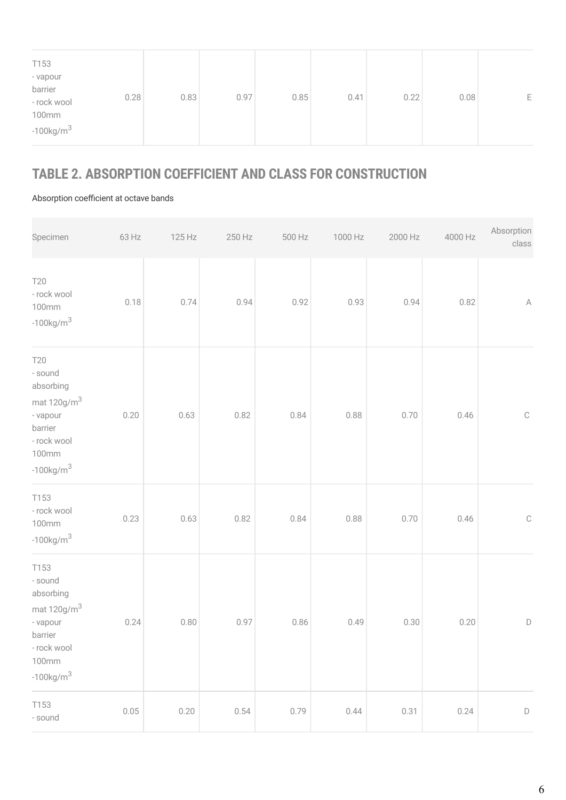| - rock wool<br><b>100mm</b><br>$-100$ kg/m $^{3}$ | 0.97<br>0.85<br>0.22<br>0.41<br>0.08<br>E |  | - vapour<br>barrier | 0.28 | 0.83 |  |  |  |  |  |
|---------------------------------------------------|-------------------------------------------|--|---------------------|------|------|--|--|--|--|--|
|---------------------------------------------------|-------------------------------------------|--|---------------------|------|------|--|--|--|--|--|

#### **TABLE 2. ABSORPTION COEFFICIENT AND CLASS FOR CONSTRUCTION**

Absorption coefficient at octave bands

| Specimen                                                                                                                         | 63 Hz | 125 Hz | 250 Hz | 500 Hz | 1000 Hz | 2000 Hz | 4000 Hz | Absorption<br>class |
|----------------------------------------------------------------------------------------------------------------------------------|-------|--------|--------|--------|---------|---------|---------|---------------------|
| <b>T20</b><br>- rock wool<br>100mm<br>$-100$ kg/m $^3$                                                                           | 0.18  | 0.74   | 0.94   | 0.92   | 0.93    | 0.94    | 0.82    | $\mathbb A$         |
| <b>T20</b><br>- sound<br>absorbing<br>mat 120g/m <sup>3</sup><br>- vapour<br>barrier<br>- rock wool<br>100mm<br>$-100$ kg/m $^3$ | 0.20  | 0.63   | 0.82   | 0.84   | 0.88    | 0.70    | 0.46    | $\mathbb{C}$        |
| T153<br>- rock wool<br><b>100mm</b><br>$-100$ kg/m $^3$                                                                          | 0.23  | 0.63   | 0.82   | 0.84   | 0.88    | 0.70    | 0.46    | $\mathbb C$         |
| T153<br>- sound<br>absorbing<br>mat $120$ g/m $^3$<br>- vapour<br>barrier<br>- rock wool<br>100mm<br>$-100$ kg/m $^3$            | 0.24  | 0.80   | 0.97   | 0.86   | 0.49    | 0.30    | 0.20    | D                   |
| T153<br>- sound                                                                                                                  | 0.05  | 0.20   | 0.54   | 0.79   | 0.44    | 0.31    | 0.24    | $\mathsf D$         |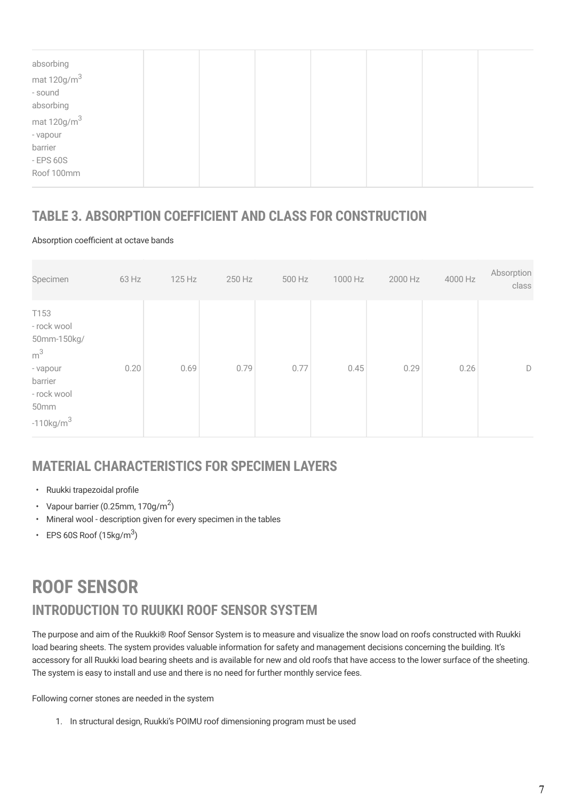| absorbing          |  |  |  |  |
|--------------------|--|--|--|--|
| mat $120$ g/m $^3$ |  |  |  |  |
| - sound            |  |  |  |  |
| absorbing          |  |  |  |  |
| mat $120$ g/m $^3$ |  |  |  |  |
| - vapour           |  |  |  |  |
| barrier            |  |  |  |  |
| $-$ EPS 60S        |  |  |  |  |
| Roof 100mm         |  |  |  |  |
|                    |  |  |  |  |

#### **TABLE 3. ABSORPTION COEFFICIENT AND CLASS FOR CONSTRUCTION**

Absorption coefficient at octave bands

| Specimen                                                                                                            | 63 Hz | 125 Hz | 250 Hz | 500 Hz | 1000 Hz | 2000 Hz | 4000 Hz | Absorption<br>class |
|---------------------------------------------------------------------------------------------------------------------|-------|--------|--------|--------|---------|---------|---------|---------------------|
| T153<br>- rock wool<br>50mm-150kg/<br>$\rm m^3$<br>- vapour<br>barrier<br>- rock wool<br>50mm<br>$-110$ kg/m $^{3}$ | 0.20  | 0.69   | 0.79   | 0.77   | 0.45    | 0.29    | 0.26    | D                   |

#### **MATERIAL CHARACTERISTICS FOR SPECIMEN LAYERS**

- Ruukki trapezoidal profile
- Vapour barrier (0.25mm, 170g/m<sup>2</sup>)
- Mineral wool description given for every specimen in the tables
- EPS 60S Roof  $(15\text{kg/m}^3)$

### **INTRODUCTION TO RUUKKI ROOF SENSOR SYSTEM ROOF SENSOR**

The purpose and aim of the Ruukki® Roof Sensor System is to measure and visualize the snow load on roofs constructed with Ruukki load bearing sheets. The system provides valuable information for safety and management decisions concerning the building. It's accessory for all Ruukki load bearing sheets and is available for new and old roofs that have access to the lower surface of the sheeting. The system is easy to install and use and there is no need for further monthly service fees.

Following corner stones are needed in the system

1. In structural design, [Ruukki's POIMU roof dimensioning program](https://software.ruukki.com/PublishedService?file=page&pageID=9&itemcode=1-1-3-1) must be used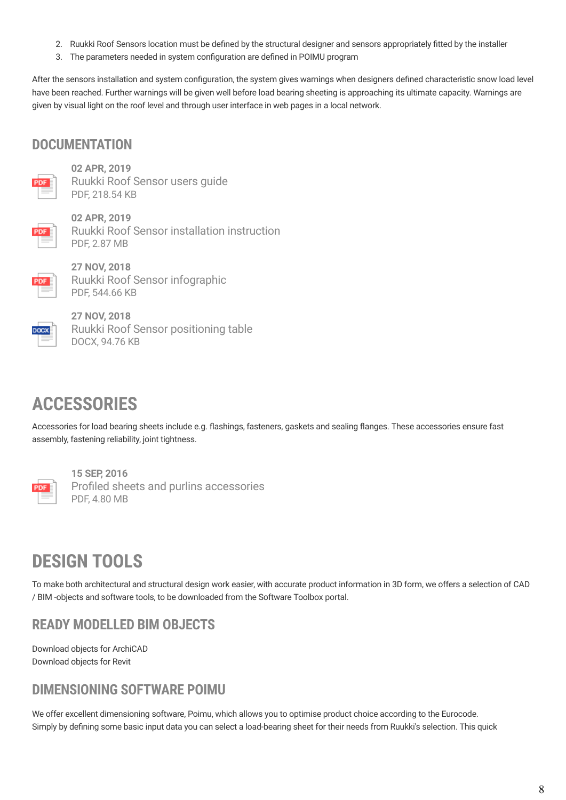- 2. Ruukki Roof Sensors location must be defined by the structural designer and sensors appropriately fitted by the installer
- 3. The parameters needed in system configuration are defined in POIMU program

After the sensors installation and system configuration, the system gives warnings when designers defined characteristic snow load level have been reached. Further warnings will be given well before load bearing sheeting is approaching its ultimate capacity. Warnings are given by visual light on the roof level and through user interface in web pages in a local network.

#### **DOCUMENTATION**



**02 APR, 2019** [Ruukki Roof Sensor users guide](https://cdn.ruukki.com/docs/default-source/b2b-documents/load-bearing-sheets/roof-sensor/ruukki_roof_sensor_users_guide_en.pdf?sfvrsn=42d3ab85_4) PDF, 218.54 KB



**02 APR, 2019** [Ruukki Roof Sensor installation instruction](https://cdn.ruukki.com/docs/default-source/b2b-documents/load-bearing-sheets/roof-sensor/ruukki-roof-sensor_installation_instruction_en_02042019.pdf?sfvrsn=63dcab85_14) PDF, 2.87 MB



**27 NOV, 2018** [Ruukki Roof Sensor infographic](https://cdn.ruukki.com/docs/default-source/b2b-documents/load-bearing-sheets/roof-sensor/ruukki_roof_sensor_infographic_en.pdf?sfvrsn=6817e685_12) PDF, 544.66 KB



**27 NOV, 2018** [Ruukki Roof Sensor positioning table](https://cdn.ruukki.com/docs/default-source/b2b-documents/load-bearing-sheets/roof-sensor/ruukki-roof-sensor-positioning-table.docx?sfvrsn=8916e685_16) DOCX, 94.76 KB

### **ACCESSORIES**

Accessories for load bearing sheets include e.g. flashings, fasteners, gaskets and sealing flanges. These accessories ensure fast assembly, fastening reliability, joint tightness.



**15 SEP, 2016** [Profiled sheets and purlins accessories](https://cdn.ruukki.com/docs/default-source/b2b-documents/load-bearing-sheets/en_profiled_sheets_and_purlins_accessories_11_2016-(1).pdf?sfvrsn=71e8f84_38) PDF, 4.80 MB

## **DESIGN TOOLS**

To make both architectural and structural design work easier, with accurate product information in 3D form, we offers a selection of CAD / BIM -objects and software tools, to be downloaded from the Software Toolbox portal.

#### **READY MODELLED BIM OBJECTS**

[Download objects for ArchiCAD](https://software.ruukki.com/PublishedService?file=&pageID=3&action=view&groupID=330&OpenGroups=330) [Download objects for Revit](https://software.ruukki.com/PublishedService?file=&pageID=3&action=view&groupID=336&OpenGroups=336)

### **DIMENSIONING SOFTWARE POIMU**

We offer excellent dimensioning software, Poimu, which allows you to optimise product choice according to the Eurocode. Simply by defining some basic input data you can select a load-bearing sheet for their needs from Ruukki's selection. This quick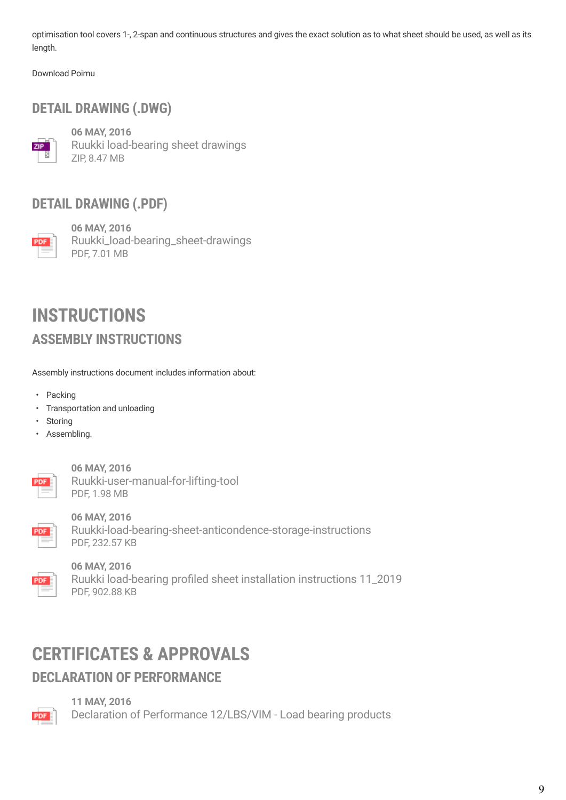optimisation tool covers 1-, 2-span and continuous structures and gives the exact solution as to what sheet should be used, as well as its length.

[Download Poimu](http://software.ruukki.com/PublishedService?file=page&pageID=9&itemcode=1-1-3-1)

### **DETAIL DRAWING (.DWG)**



**06 MAY, 2016** [Ruukki load-bearing sheet drawings](https://cdn.ruukki.com/docs/default-source/b2b-documents/load-bearing-sheets/load-bearing-sheets/ruukki-load-bearing-sheet-drawings.zip?sfvrsn=fd63f584_20) ZIP, 8.47 MB

#### **DETAIL DRAWING (.PDF)**



**06 MAY, 2016** [Ruukki\\_load-bearing\\_sheet-drawings](https://cdn.ruukki.com/docs/default-source/b2b-documents/load-bearing-sheets/load-bearing-sheets/ruukki_load-bearing_sheet-drawings.pdf?sfvrsn=1463f584_20) PDF, 7.01 MB

### **ASSEMBLY INSTRUCTIONS INSTRUCTIONS**

Assembly instructions document includes information about:

- Packing
- Transportation and unloading
- Storing
- Assembling.



**06 MAY, 2016** [Ruukki-user-manual-for-lifting-tool](https://cdn.ruukki.com/docs/default-source/b2b-documents/load-bearing-sheets/load-bearing-sheets/ruukki-user-manual-for-lifting-tool.pdf?sfvrsn=7c63f584_16) PDF, 1.98 MB



**06 MAY, 2016** [Ruukki-load-bearing-sheet-anticondence-storage-instructions](https://cdn.ruukki.com/docs/default-source/b2b-documents/load-bearing-sheets/load-bearing-sheets/ruukki-load-bearing-sheet-anticondence-storage-instructions.pdf?sfvrsn=5863f584_18) PDF, 232.57 KB



**06 MAY, 2016**

[Ruukki load-bearing profiled sheet installation instructions 11\\_2019](https://cdn.ruukki.com/docs/default-source/b2b-documents/load-bearing-sheets/load-bearing-sheets/ruukki-load-bearing-profiled-sheet-installation-instructions.pdf?sfvrsn=4a63f584_18) PDF, 902.88 KB

## **CERTIFICATES & APPROVALS**

#### **DECLARATION OF PERFORMANCE**



**11 MAY, 2016**

[Declaration of Performance 12/LBS/VIM - Load bearing products](https://cdn.ruukki.com/docs/default-source/b2b-documents/load-bearing-sheets/load-bearing-sheets/declaration-of-performance-vimpeli-lbs.pdf?sfvrsn=d5d8f584_24)